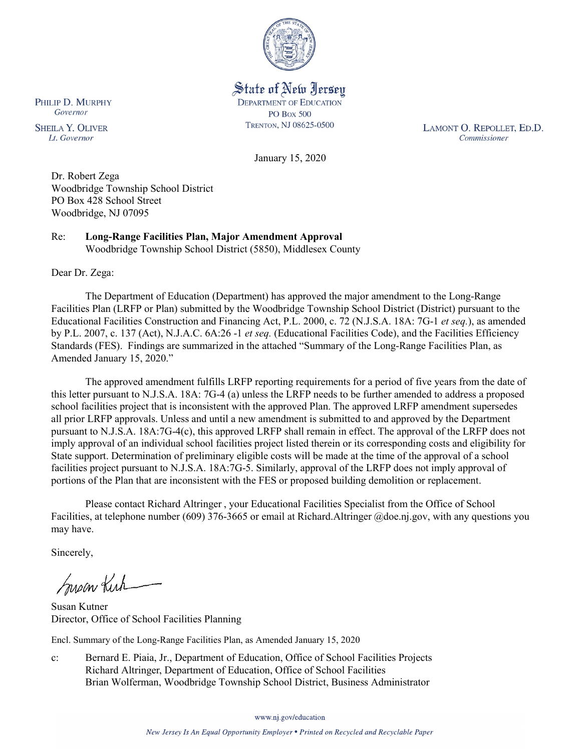

State of New Jersey **DEPARTMENT OF EDUCATION PO Box 500** TRENTON, NJ 08625-0500

LAMONT O. REPOLLET, ED.D. Commissioner

January 15, 2020

Dr. Robert Zega Woodbridge Township School District PO Box 428 School Street

Re: **Long-Range Facilities Plan, Major Amendment Approval** Woodbridge Township School District (5850), Middlesex County

Dear Dr. Zega:

PHILIP D. MURPHY Governor

**SHEILA Y. OLIVER** 

Lt. Governor

Woodbridge, NJ 07095

The Department of Education (Department) has approved the major amendment to the Long-Range Facilities Plan (LRFP or Plan) submitted by the Woodbridge Township School District (District) pursuant to the Educational Facilities Construction and Financing Act, P.L. 2000, c. 72 (N.J.S.A. 18A: 7G-1 *et seq.*), as amended by P.L. 2007, c. 137 (Act), N.J.A.C. 6A:26 -1 *et seq.* (Educational Facilities Code), and the Facilities Efficiency Standards (FES). Findings are summarized in the attached "Summary of the Long-Range Facilities Plan, as Amended January 15, 2020."

The approved amendment fulfills LRFP reporting requirements for a period of five years from the date of this letter pursuant to N.J.S.A. 18A: 7G-4 (a) unless the LRFP needs to be further amended to address a proposed school facilities project that is inconsistent with the approved Plan. The approved LRFP amendment supersedes all prior LRFP approvals. Unless and until a new amendment is submitted to and approved by the Department pursuant to N.J.S.A. 18A:7G-4(c), this approved LRFP shall remain in effect. The approval of the LRFP does not imply approval of an individual school facilities project listed therein or its corresponding costs and eligibility for State support. Determination of preliminary eligible costs will be made at the time of the approval of a school facilities project pursuant to N.J.S.A. 18A:7G-5. Similarly, approval of the LRFP does not imply approval of portions of the Plan that are inconsistent with the FES or proposed building demolition or replacement.

Please contact Richard Altringer , your Educational Facilities Specialist from the Office of School Facilities, at telephone number (609) 376-3665 or email at Richard.Altringer @doe.nj.gov, with any questions you may have.

Sincerely,

Susan Kich

Susan Kutner Director, Office of School Facilities Planning

Encl. Summary of the Long-Range Facilities Plan, as Amended January 15, 2020

c: Bernard E. Piaia, Jr., Department of Education, Office of School Facilities Projects Richard Altringer, Department of Education, Office of School Facilities Brian Wolferman, Woodbridge Township School District, Business Administrator

www.nj.gov/education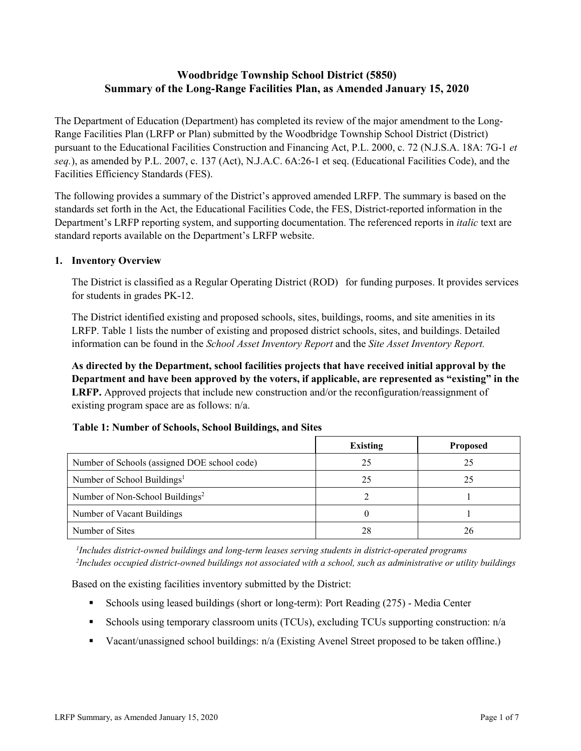# **Woodbridge Township School District (5850) Summary of the Long-Range Facilities Plan, as Amended January 15, 2020**

The Department of Education (Department) has completed its review of the major amendment to the Long-Range Facilities Plan (LRFP or Plan) submitted by the Woodbridge Township School District (District) pursuant to the Educational Facilities Construction and Financing Act, P.L. 2000, c. 72 (N.J.S.A. 18A: 7G-1 *et seq.*), as amended by P.L. 2007, c. 137 (Act), N.J.A.C. 6A:26-1 et seq. (Educational Facilities Code), and the Facilities Efficiency Standards (FES).

The following provides a summary of the District's approved amended LRFP. The summary is based on the standards set forth in the Act, the Educational Facilities Code, the FES, District-reported information in the Department's LRFP reporting system, and supporting documentation. The referenced reports in *italic* text are standard reports available on the Department's LRFP website.

### **1. Inventory Overview**

The District is classified as a Regular Operating District (ROD) for funding purposes. It provides services for students in grades PK-12.

The District identified existing and proposed schools, sites, buildings, rooms, and site amenities in its LRFP. Table 1 lists the number of existing and proposed district schools, sites, and buildings. Detailed information can be found in the *School Asset Inventory Report* and the *Site Asset Inventory Report.*

**As directed by the Department, school facilities projects that have received initial approval by the Department and have been approved by the voters, if applicable, are represented as "existing" in the LRFP.** Approved projects that include new construction and/or the reconfiguration/reassignment of existing program space are as follows: n/a.

|                                              | <b>Existing</b> | <b>Proposed</b> |
|----------------------------------------------|-----------------|-----------------|
| Number of Schools (assigned DOE school code) | 25              | 25              |
| Number of School Buildings <sup>1</sup>      | 25              | 25              |
| Number of Non-School Buildings <sup>2</sup>  |                 |                 |
| Number of Vacant Buildings                   |                 |                 |
| Number of Sites                              | 28              | 26              |

#### **Table 1: Number of Schools, School Buildings, and Sites**

*1 Includes district-owned buildings and long-term leases serving students in district-operated programs 2 Includes occupied district-owned buildings not associated with a school, such as administrative or utility buildings*

Based on the existing facilities inventory submitted by the District:

- Schools using leased buildings (short or long-term): Port Reading (275) Media Center
- Schools using temporary classroom units (TCUs), excluding TCUs supporting construction: n/a
- Vacant/unassigned school buildings: n/a (Existing Avenel Street proposed to be taken offline.)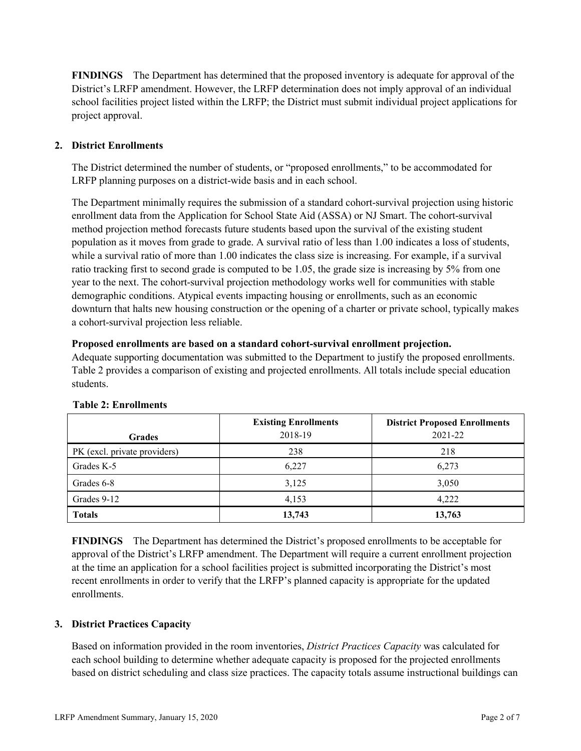**FINDINGS** The Department has determined that the proposed inventory is adequate for approval of the District's LRFP amendment. However, the LRFP determination does not imply approval of an individual school facilities project listed within the LRFP; the District must submit individual project applications for project approval.

# **2. District Enrollments**

The District determined the number of students, or "proposed enrollments," to be accommodated for LRFP planning purposes on a district-wide basis and in each school.

The Department minimally requires the submission of a standard cohort-survival projection using historic enrollment data from the Application for School State Aid (ASSA) or NJ Smart. The cohort-survival method projection method forecasts future students based upon the survival of the existing student population as it moves from grade to grade. A survival ratio of less than 1.00 indicates a loss of students, while a survival ratio of more than 1.00 indicates the class size is increasing. For example, if a survival ratio tracking first to second grade is computed to be 1.05, the grade size is increasing by 5% from one year to the next. The cohort-survival projection methodology works well for communities with stable demographic conditions. Atypical events impacting housing or enrollments, such as an economic downturn that halts new housing construction or the opening of a charter or private school, typically makes a cohort-survival projection less reliable.

#### **Proposed enrollments are based on a standard cohort-survival enrollment projection.**

Adequate supporting documentation was submitted to the Department to justify the proposed enrollments. Table 2 provides a comparison of existing and projected enrollments. All totals include special education students.

|                              | <b>Existing Enrollments</b> | <b>District Proposed Enrollments</b> |
|------------------------------|-----------------------------|--------------------------------------|
| <b>Grades</b>                | 2018-19                     | 2021-22                              |
| PK (excl. private providers) | 238                         | 218                                  |
| Grades K-5                   | 6.227                       | 6,273                                |
| Grades 6-8                   | 3,125                       | 3,050                                |
| Grades 9-12                  | 4,153                       | 4,222                                |
| <b>Totals</b>                | 13,743                      | 13,763                               |

#### **Table 2: Enrollments**

**FINDINGS** The Department has determined the District's proposed enrollments to be acceptable for approval of the District's LRFP amendment. The Department will require a current enrollment projection at the time an application for a school facilities project is submitted incorporating the District's most recent enrollments in order to verify that the LRFP's planned capacity is appropriate for the updated enrollments.

#### **3. District Practices Capacity**

Based on information provided in the room inventories, *District Practices Capacity* was calculated for each school building to determine whether adequate capacity is proposed for the projected enrollments based on district scheduling and class size practices. The capacity totals assume instructional buildings can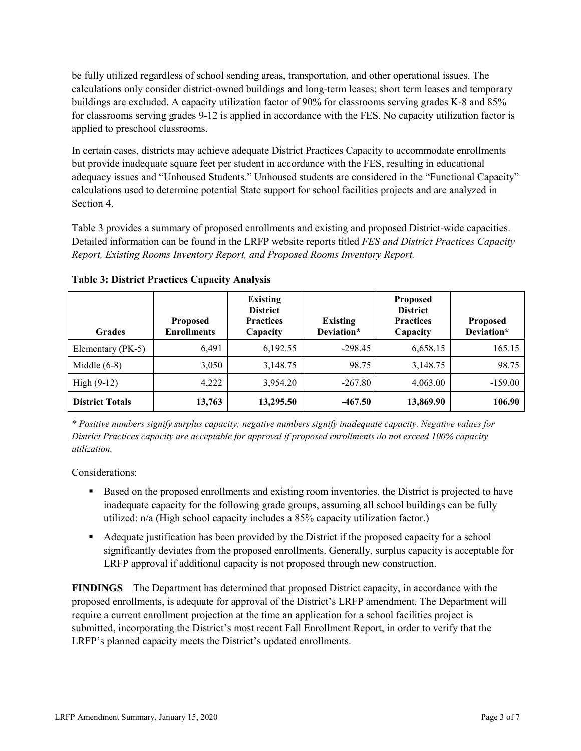be fully utilized regardless of school sending areas, transportation, and other operational issues. The calculations only consider district-owned buildings and long-term leases; short term leases and temporary buildings are excluded. A capacity utilization factor of 90% for classrooms serving grades K-8 and 85% for classrooms serving grades 9-12 is applied in accordance with the FES. No capacity utilization factor is applied to preschool classrooms.

In certain cases, districts may achieve adequate District Practices Capacity to accommodate enrollments but provide inadequate square feet per student in accordance with the FES, resulting in educational adequacy issues and "Unhoused Students." Unhoused students are considered in the "Functional Capacity" calculations used to determine potential State support for school facilities projects and are analyzed in Section 4.

Table 3 provides a summary of proposed enrollments and existing and proposed District-wide capacities. Detailed information can be found in the LRFP website reports titled *FES and District Practices Capacity Report, Existing Rooms Inventory Report, and Proposed Rooms Inventory Report.*

| <b>Grades</b>          | <b>Proposed</b><br><b>Enrollments</b> | <b>Existing</b><br><b>District</b><br><b>Practices</b><br>Capacity | <b>Existing</b><br>Deviation* | <b>Proposed</b><br><b>District</b><br><b>Practices</b><br>Capacity | <b>Proposed</b><br>Deviation* |
|------------------------|---------------------------------------|--------------------------------------------------------------------|-------------------------------|--------------------------------------------------------------------|-------------------------------|
| Elementary (PK-5)      | 6,491                                 | 6,192.55                                                           | $-298.45$                     | 6,658.15                                                           | 165.15                        |
| Middle $(6-8)$         | 3,050                                 | 3,148.75                                                           | 98.75                         | 3,148.75                                                           | 98.75                         |
| High $(9-12)$          | 4,222                                 | 3,954.20                                                           | $-267.80$                     | 4,063.00                                                           | $-159.00$                     |
| <b>District Totals</b> | 13,763                                | 13,295.50                                                          | $-467.50$                     | 13,869.90                                                          | 106.90                        |

**Table 3: District Practices Capacity Analysis**

*\* Positive numbers signify surplus capacity; negative numbers signify inadequate capacity. Negative values for District Practices capacity are acceptable for approval if proposed enrollments do not exceed 100% capacity utilization.*

Considerations:

- **Based on the proposed enrollments and existing room inventories, the District is projected to have** inadequate capacity for the following grade groups, assuming all school buildings can be fully utilized: n/a (High school capacity includes a 85% capacity utilization factor.)
- Adequate justification has been provided by the District if the proposed capacity for a school significantly deviates from the proposed enrollments. Generally, surplus capacity is acceptable for LRFP approval if additional capacity is not proposed through new construction.

**FINDINGS**The Department has determined that proposed District capacity, in accordance with the proposed enrollments, is adequate for approval of the District's LRFP amendment. The Department will require a current enrollment projection at the time an application for a school facilities project is submitted, incorporating the District's most recent Fall Enrollment Report, in order to verify that the LRFP's planned capacity meets the District's updated enrollments.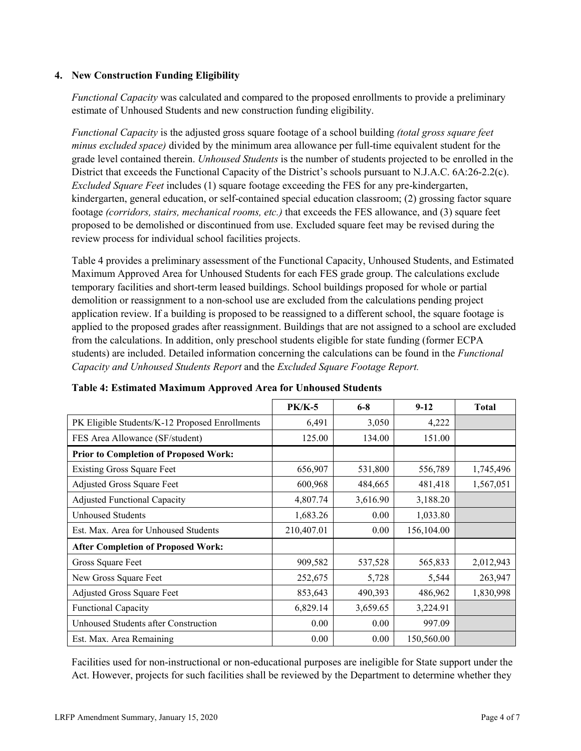### **4. New Construction Funding Eligibility**

*Functional Capacity* was calculated and compared to the proposed enrollments to provide a preliminary estimate of Unhoused Students and new construction funding eligibility.

*Functional Capacity* is the adjusted gross square footage of a school building *(total gross square feet minus excluded space)* divided by the minimum area allowance per full-time equivalent student for the grade level contained therein. *Unhoused Students* is the number of students projected to be enrolled in the District that exceeds the Functional Capacity of the District's schools pursuant to N.J.A.C. 6A:26-2.2(c). *Excluded Square Feet* includes (1) square footage exceeding the FES for any pre-kindergarten, kindergarten, general education, or self-contained special education classroom; (2) grossing factor square footage *(corridors, stairs, mechanical rooms, etc.)* that exceeds the FES allowance, and (3) square feet proposed to be demolished or discontinued from use. Excluded square feet may be revised during the review process for individual school facilities projects.

Table 4 provides a preliminary assessment of the Functional Capacity, Unhoused Students, and Estimated Maximum Approved Area for Unhoused Students for each FES grade group. The calculations exclude temporary facilities and short-term leased buildings. School buildings proposed for whole or partial demolition or reassignment to a non-school use are excluded from the calculations pending project application review. If a building is proposed to be reassigned to a different school, the square footage is applied to the proposed grades after reassignment. Buildings that are not assigned to a school are excluded from the calculations. In addition, only preschool students eligible for state funding (former ECPA students) are included. Detailed information concerning the calculations can be found in the *Functional Capacity and Unhoused Students Report* and the *Excluded Square Footage Report.*

|                                                | $PK/K-5$   | $6 - 8$  | $9 - 12$   | <b>Total</b> |
|------------------------------------------------|------------|----------|------------|--------------|
| PK Eligible Students/K-12 Proposed Enrollments | 6,491      | 3,050    | 4,222      |              |
| FES Area Allowance (SF/student)                | 125.00     | 134.00   | 151.00     |              |
| <b>Prior to Completion of Proposed Work:</b>   |            |          |            |              |
| <b>Existing Gross Square Feet</b>              | 656,907    | 531,800  | 556,789    | 1,745,496    |
| Adjusted Gross Square Feet                     | 600,968    | 484,665  | 481,418    | 1,567,051    |
| <b>Adjusted Functional Capacity</b>            | 4,807.74   | 3,616.90 | 3,188.20   |              |
| <b>Unhoused Students</b>                       | 1,683.26   | 0.00     | 1,033.80   |              |
| Est. Max. Area for Unhoused Students           | 210,407.01 | 0.00     | 156,104.00 |              |
| <b>After Completion of Proposed Work:</b>      |            |          |            |              |
| Gross Square Feet                              | 909,582    | 537,528  | 565,833    | 2,012,943    |
| New Gross Square Feet                          | 252,675    | 5,728    | 5,544      | 263,947      |
| Adjusted Gross Square Feet                     | 853,643    | 490,393  | 486,962    | 1,830,998    |
| Functional Capacity                            | 6,829.14   | 3,659.65 | 3,224.91   |              |
| Unhoused Students after Construction           | 0.00       | 0.00     | 997.09     |              |
| Est. Max. Area Remaining                       | 0.00       | 0.00     | 150,560.00 |              |

#### **Table 4: Estimated Maximum Approved Area for Unhoused Students**

Facilities used for non-instructional or non-educational purposes are ineligible for State support under the Act. However, projects for such facilities shall be reviewed by the Department to determine whether they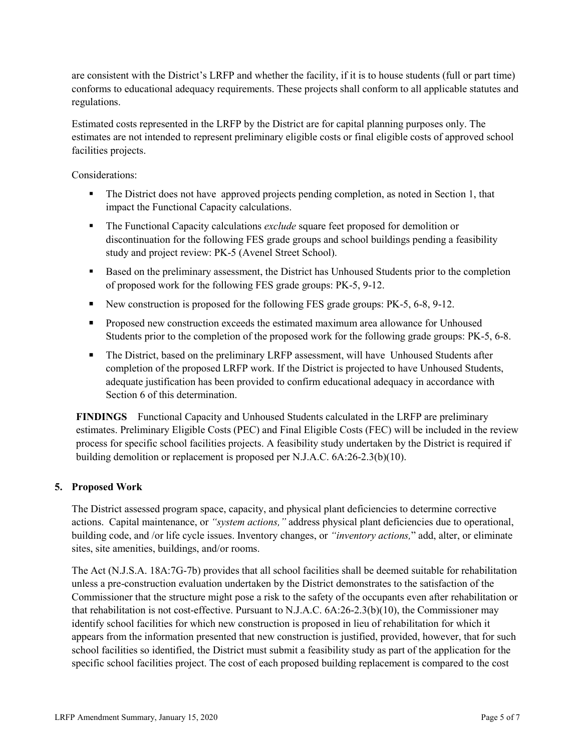are consistent with the District's LRFP and whether the facility, if it is to house students (full or part time) conforms to educational adequacy requirements. These projects shall conform to all applicable statutes and regulations.

Estimated costs represented in the LRFP by the District are for capital planning purposes only. The estimates are not intended to represent preliminary eligible costs or final eligible costs of approved school facilities projects.

Considerations:

- The District does not have approved projects pending completion, as noted in Section 1, that impact the Functional Capacity calculations.
- The Functional Capacity calculations *exclude* square feet proposed for demolition or discontinuation for the following FES grade groups and school buildings pending a feasibility study and project review: PK-5 (Avenel Street School).
- Based on the preliminary assessment, the District has Unhoused Students prior to the completion of proposed work for the following FES grade groups: PK-5, 9-12.
- New construction is proposed for the following FES grade groups: PK-5, 6-8, 9-12.
- **Proposed new construction exceeds the estimated maximum area allowance for Unhoused** Students prior to the completion of the proposed work for the following grade groups: PK-5, 6-8.
- The District, based on the preliminary LRFP assessment, will have Unhoused Students after completion of the proposed LRFP work. If the District is projected to have Unhoused Students, adequate justification has been provided to confirm educational adequacy in accordance with Section 6 of this determination.

**FINDINGS** Functional Capacity and Unhoused Students calculated in the LRFP are preliminary estimates. Preliminary Eligible Costs (PEC) and Final Eligible Costs (FEC) will be included in the review process for specific school facilities projects. A feasibility study undertaken by the District is required if building demolition or replacement is proposed per N.J.A.C. 6A:26-2.3(b)(10).

# **5. Proposed Work**

The District assessed program space, capacity, and physical plant deficiencies to determine corrective actions. Capital maintenance, or *"system actions,"* address physical plant deficiencies due to operational, building code, and /or life cycle issues. Inventory changes, or *"inventory actions,*" add, alter, or eliminate sites, site amenities, buildings, and/or rooms.

The Act (N.J.S.A. 18A:7G-7b) provides that all school facilities shall be deemed suitable for rehabilitation unless a pre-construction evaluation undertaken by the District demonstrates to the satisfaction of the Commissioner that the structure might pose a risk to the safety of the occupants even after rehabilitation or that rehabilitation is not cost-effective. Pursuant to N.J.A.C. 6A:26-2.3(b)(10), the Commissioner may identify school facilities for which new construction is proposed in lieu of rehabilitation for which it appears from the information presented that new construction is justified, provided, however, that for such school facilities so identified, the District must submit a feasibility study as part of the application for the specific school facilities project. The cost of each proposed building replacement is compared to the cost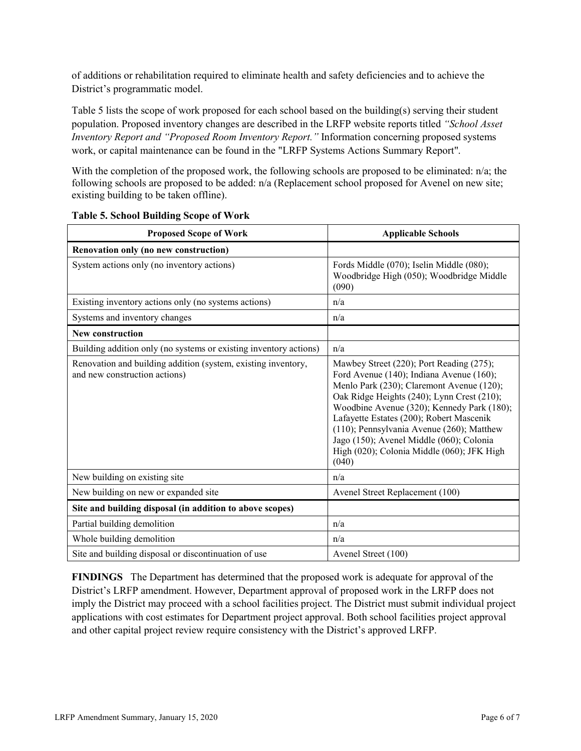of additions or rehabilitation required to eliminate health and safety deficiencies and to achieve the District's programmatic model.

Table 5 lists the scope of work proposed for each school based on the building(s) serving their student population. Proposed inventory changes are described in the LRFP website reports titled *"School Asset Inventory Report and "Proposed Room Inventory Report."* Information concerning proposed systems work, or capital maintenance can be found in the "LRFP Systems Actions Summary Report".

With the completion of the proposed work, the following schools are proposed to be eliminated: n/a; the following schools are proposed to be added: n/a (Replacement school proposed for Avenel on new site; existing building to be taken offline).

| <b>Proposed Scope of Work</b>                                                                  | <b>Applicable Schools</b>                                                                                                                                                                                                                                                                                                                                                                                                 |
|------------------------------------------------------------------------------------------------|---------------------------------------------------------------------------------------------------------------------------------------------------------------------------------------------------------------------------------------------------------------------------------------------------------------------------------------------------------------------------------------------------------------------------|
| Renovation only (no new construction)                                                          |                                                                                                                                                                                                                                                                                                                                                                                                                           |
| System actions only (no inventory actions)                                                     | Fords Middle (070); Iselin Middle (080);<br>Woodbridge High (050); Woodbridge Middle<br>(090)                                                                                                                                                                                                                                                                                                                             |
| Existing inventory actions only (no systems actions)                                           | n/a                                                                                                                                                                                                                                                                                                                                                                                                                       |
| Systems and inventory changes                                                                  | n/a                                                                                                                                                                                                                                                                                                                                                                                                                       |
| <b>New construction</b>                                                                        |                                                                                                                                                                                                                                                                                                                                                                                                                           |
| Building addition only (no systems or existing inventory actions)                              | n/a                                                                                                                                                                                                                                                                                                                                                                                                                       |
| Renovation and building addition (system, existing inventory,<br>and new construction actions) | Mawbey Street (220); Port Reading (275);<br>Ford Avenue (140); Indiana Avenue (160);<br>Menlo Park (230); Claremont Avenue (120);<br>Oak Ridge Heights (240); Lynn Crest (210);<br>Woodbine Avenue (320); Kennedy Park (180);<br>Lafayette Estates (200); Robert Mascenik<br>(110); Pennsylvania Avenue (260); Matthew<br>Jago (150); Avenel Middle (060); Colonia<br>High (020); Colonia Middle (060); JFK High<br>(040) |
| New building on existing site                                                                  | n/a                                                                                                                                                                                                                                                                                                                                                                                                                       |
| New building on new or expanded site                                                           | Avenel Street Replacement (100)                                                                                                                                                                                                                                                                                                                                                                                           |
| Site and building disposal (in addition to above scopes)                                       |                                                                                                                                                                                                                                                                                                                                                                                                                           |
| Partial building demolition                                                                    | n/a                                                                                                                                                                                                                                                                                                                                                                                                                       |
| Whole building demolition                                                                      | n/a                                                                                                                                                                                                                                                                                                                                                                                                                       |
| Site and building disposal or discontinuation of use                                           | Avenel Street (100)                                                                                                                                                                                                                                                                                                                                                                                                       |

**Table 5. School Building Scope of Work**

**FINDINGS** The Department has determined that the proposed work is adequate for approval of the District's LRFP amendment. However, Department approval of proposed work in the LRFP does not imply the District may proceed with a school facilities project. The District must submit individual project applications with cost estimates for Department project approval. Both school facilities project approval and other capital project review require consistency with the District's approved LRFP.